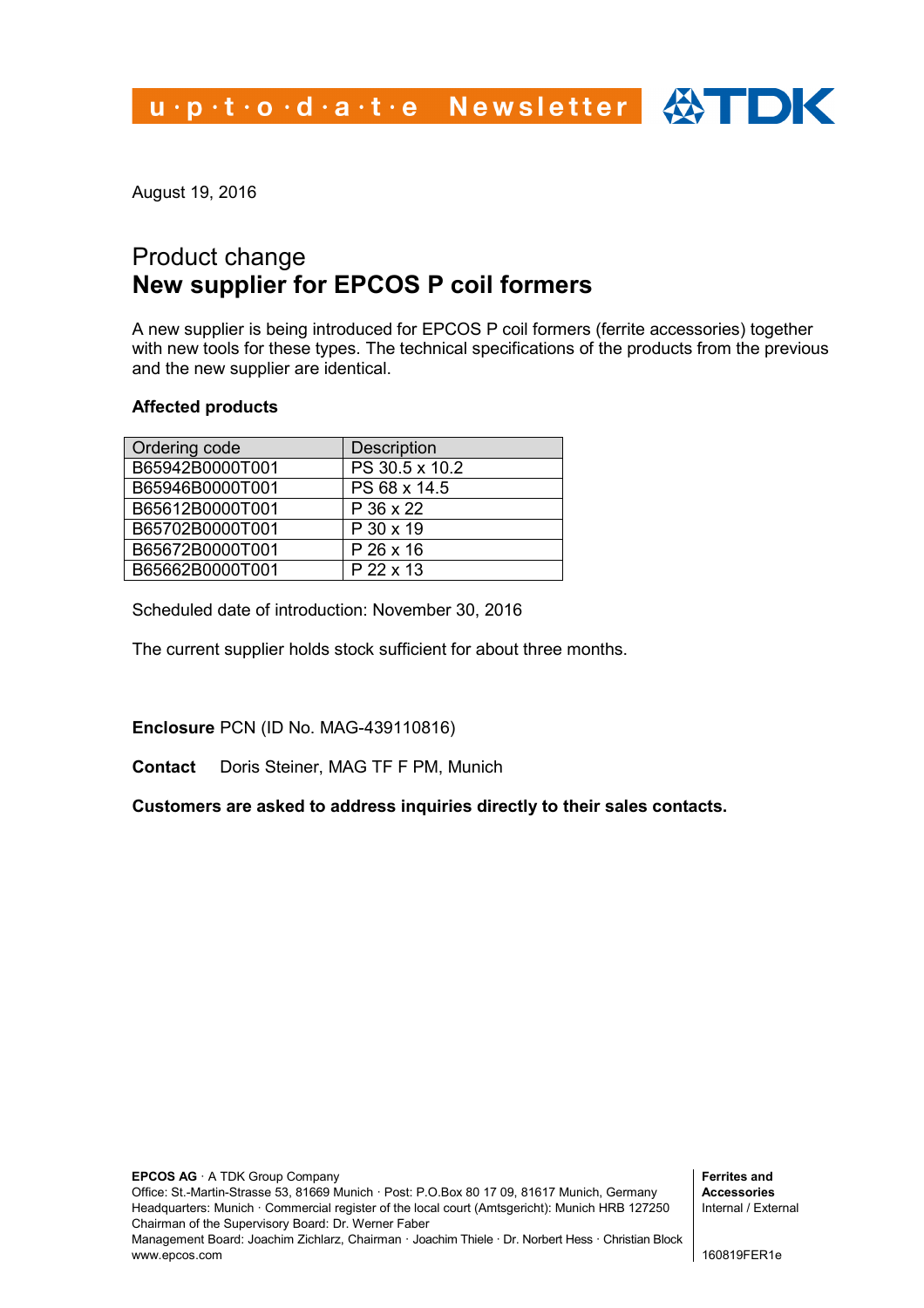u.p.t.o.d.a.t.e Newsletter  $\bigoplus$  IDK

August 19, 2016

## Product change **New supplier for EPCOS P coil formers**

A new supplier is being introduced for EPCOS P coil formers (ferrite accessories) together with new tools for these types. The technical specifications of the products from the previous and the new supplier are identical.

## **Affected products**

| Ordering code   | <b>Description</b> |
|-----------------|--------------------|
| B65942B0000T001 | PS 30.5 x 10.2     |
| B65946B0000T001 | PS 68 x 14.5       |
| B65612B0000T001 | P 36 x 22          |
| B65702B0000T001 | P 30 x 19          |
| B65672B0000T001 | P 26 x 16          |
| B65662B0000T001 | P 22 x 13          |

Scheduled date of introduction: November 30, 2016

The current supplier holds stock sufficient for about three months.

**Enclosure** PCN (ID No. MAG-439110816)

**Contact** Doris Steiner, MAG TF F PM, Munich

**Customers are asked to address inquiries directly to their sales contacts.**

**Ferrites and Accessories** Internal / External